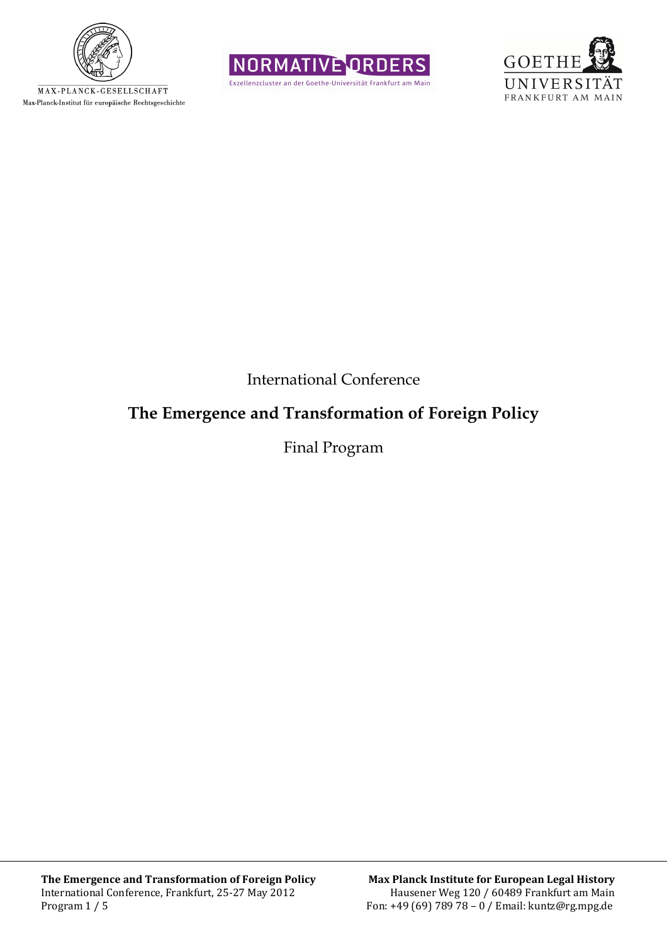

MAX-PLANCK-GESELLSCHAFT Max-Planck-Institut für europäische Rechtsgeschichte





International Conference

## **The Emergence and Transformation of Foreign Policy**

Final Program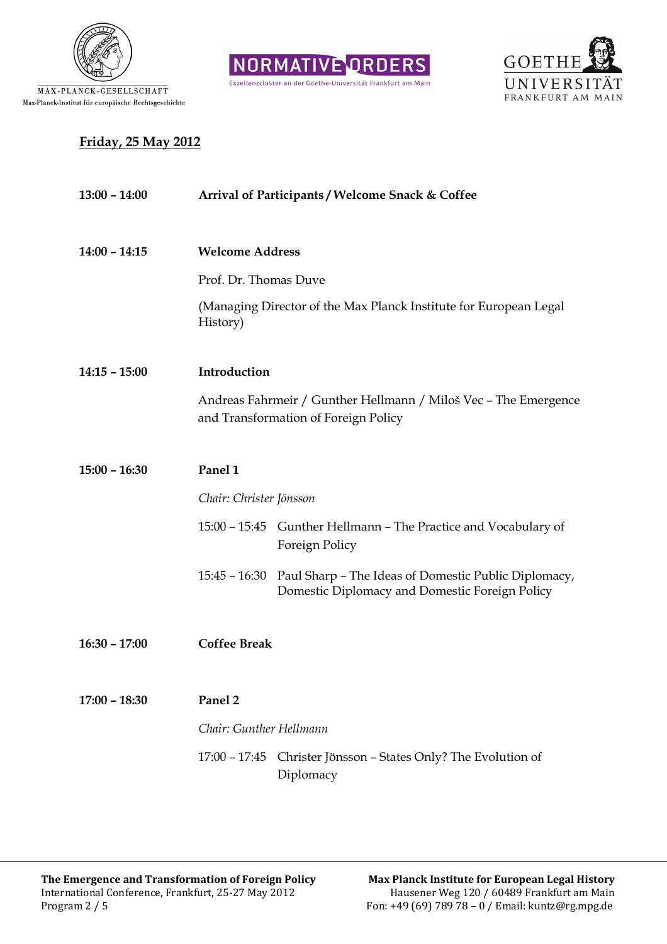





## **Friday, 25 May 2012**

| $13:00 - 14:00$ | Arrival of Participants / Welcome Snack & Coffee                                                                     |  |  |
|-----------------|----------------------------------------------------------------------------------------------------------------------|--|--|
| $14:00 - 14:15$ | <b>Welcome Address</b>                                                                                               |  |  |
|                 | Prof. Dr. Thomas Duve                                                                                                |  |  |
|                 | (Managing Director of the Max Planck Institute for European Legal<br>History)                                        |  |  |
| $14:15 - 15:00$ | Introduction                                                                                                         |  |  |
|                 | Andreas Fahrmeir / Gunther Hellmann / Miloš Vec - The Emergence<br>and Transformation of Foreign Policy              |  |  |
| $15:00 - 16:30$ | Panel 1                                                                                                              |  |  |
|                 | Chair: Christer Jönsson                                                                                              |  |  |
|                 | 15:00 - 15:45 Gunther Hellmann - The Practice and Vocabulary of<br>Foreign Policy                                    |  |  |
|                 | 15:45 - 16:30 Paul Sharp - The Ideas of Domestic Public Diplomacy,<br>Domestic Diplomacy and Domestic Foreign Policy |  |  |
| $16:30 - 17:00$ | <b>Coffee Break</b>                                                                                                  |  |  |
| $17:00 - 18:30$ | Panel 2                                                                                                              |  |  |
|                 | Chair: Gunther Hellmann                                                                                              |  |  |
|                 | $17:00 - 17:45$<br>Christer Jönsson – States Only? The Evolution of<br>Diplomacy                                     |  |  |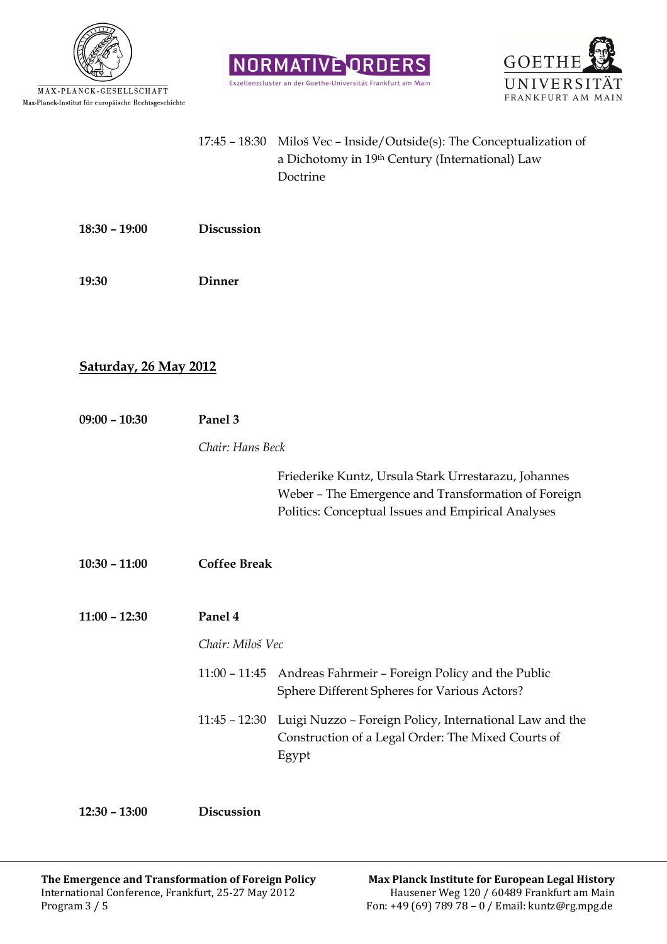

MAX-PLANCK-GESELLSCHAFT  ${\tt Max-Planck-Institut}$  für europäische Rechtsgeschichte



| $17:45 - 18:30$ Miloš Vec – Inside/Outside(s): The Conceptualization of |
|-------------------------------------------------------------------------|
| a Dichotomy in 19th Century (International) Law                         |
| Doctrine                                                                |

NORMATIVE ORDERS

**18:30 – 19:00 Discussion** 

**19:30 Dinner** 

## **Saturday, 26 May 2012**

| $09:00 - 10:30$ | Panel 3             |                                                                                                                                                                   |
|-----------------|---------------------|-------------------------------------------------------------------------------------------------------------------------------------------------------------------|
|                 | Chair: Hans Beck    |                                                                                                                                                                   |
|                 |                     | Friederike Kuntz, Ursula Stark Urrestarazu, Johannes<br>Weber - The Emergence and Transformation of Foreign<br>Politics: Conceptual Issues and Empirical Analyses |
| $10:30 - 11:00$ | <b>Coffee Break</b> |                                                                                                                                                                   |
| $11:00 - 12:30$ | Panel 4             |                                                                                                                                                                   |
|                 | Chair: Miloš Vec    |                                                                                                                                                                   |
|                 | $11:00 - 11:45$     | Andreas Fahrmeir - Foreign Policy and the Public<br>Sphere Different Spheres for Various Actors?                                                                  |
|                 |                     | 11:45 - 12:30 Luigi Nuzzo - Foreign Policy, International Law and the<br>Construction of a Legal Order: The Mixed Courts of<br>Egypt                              |
|                 |                     |                                                                                                                                                                   |

**12:30 – 13:00 Discussion**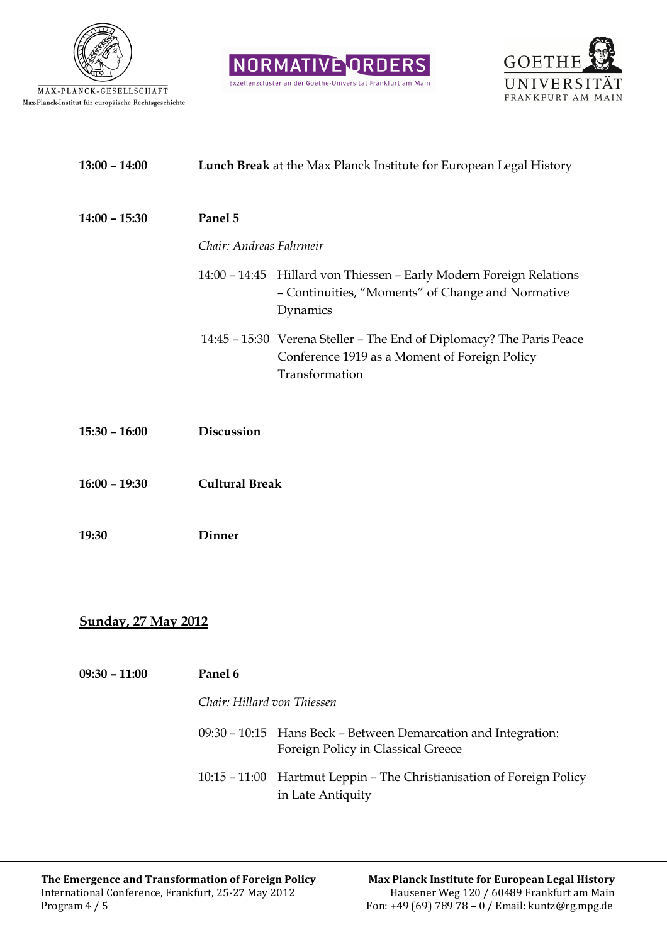





| $13:00 - 14:00$            | Lunch Break at the Max Planck Institute for European Legal History |                                                                                                                                         |  |  |
|----------------------------|--------------------------------------------------------------------|-----------------------------------------------------------------------------------------------------------------------------------------|--|--|
| $14:00 - 15:30$            | Panel 5                                                            |                                                                                                                                         |  |  |
|                            | Chair: Andreas Fahrmeir                                            |                                                                                                                                         |  |  |
|                            |                                                                    | 14:00 - 14:45 Hillard von Thiessen - Early Modern Foreign Relations<br>- Continuities, "Moments" of Change and Normative<br>Dynamics    |  |  |
|                            |                                                                    | 14:45 - 15:30 Verena Steller - The End of Diplomacy? The Paris Peace<br>Conference 1919 as a Moment of Foreign Policy<br>Transformation |  |  |
| $15:30 - 16:00$            | Discussion                                                         |                                                                                                                                         |  |  |
| $16:00 - 19:30$            | <b>Cultural Break</b>                                              |                                                                                                                                         |  |  |
| 19:30                      | <b>Dinner</b>                                                      |                                                                                                                                         |  |  |
|                            |                                                                    |                                                                                                                                         |  |  |
| <b>Sunday, 27 May 2012</b> |                                                                    |                                                                                                                                         |  |  |
| $09:30 - 11:00$            | Panel 6                                                            |                                                                                                                                         |  |  |
|                            | Chair: Hillard von Thiessen                                        |                                                                                                                                         |  |  |
|                            |                                                                    | 09:30 - 10:15 Hans Beck - Between Demarcation and Integration:<br>Foreign Policy in Classical Greece                                    |  |  |
|                            |                                                                    | 10:15 - 11:00 Hartmut Leppin - The Christianisation of Foreign Policy<br>in Late Antiquity                                              |  |  |